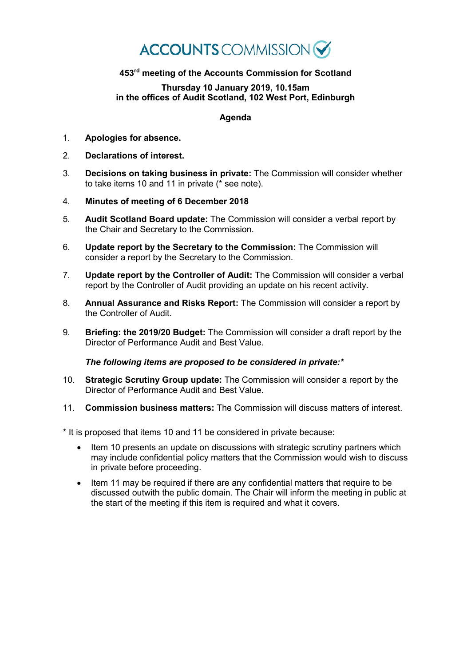# **ACCOUNTS** COMMISSION

## **453rd meeting of the Accounts Commission for Scotland**

#### **Thursday 10 January 2019, 10.15am in the offices of Audit Scotland, 102 West Port, Edinburgh**

### **Agenda**

- 1. **Apologies for absence.**
- 2. **Declarations of interest.**
- 3. **Decisions on taking business in private:** The Commission will consider whether to take items 10 and 11 in private (\* see note).
- 4. **Minutes of meeting of 6 December 2018**
- 5. **Audit Scotland Board update:** The Commission will consider a verbal report by the Chair and Secretary to the Commission.
- 6. **Update report by the Secretary to the Commission:** The Commission will consider a report by the Secretary to the Commission.
- 7. **Update report by the Controller of Audit:** The Commission will consider a verbal report by the Controller of Audit providing an update on his recent activity.
- 8. **Annual Assurance and Risks Report:** The Commission will consider a report by the Controller of Audit.
- 9. **Briefing: the 2019/20 Budget:** The Commission will consider a draft report by the Director of Performance Audit and Best Value.

#### *The following items are proposed to be considered in private:\**

- 10. **Strategic Scrutiny Group update:** The Commission will consider a report by the Director of Performance Audit and Best Value.
- 11. **Commission business matters:** The Commission will discuss matters of interest.

\* It is proposed that items 10 and 11 be considered in private because:

- Item 10 presents an update on discussions with strategic scrutiny partners which may include confidential policy matters that the Commission would wish to discuss in private before proceeding.
- Item 11 may be required if there are any confidential matters that require to be discussed outwith the public domain. The Chair will inform the meeting in public at the start of the meeting if this item is required and what it covers.